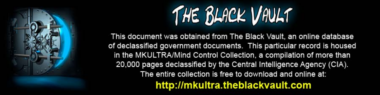

This document was obtained from The Black Vault, an online database of declassified government documents. This particular record is housed in the MKULTRA/Mind Control Collection, a compilation of more than 20,000 pages declassified by the Central Intelligence Agency (CIA). The entire collection is free to download and online at: http://mkultra.theblackvault.com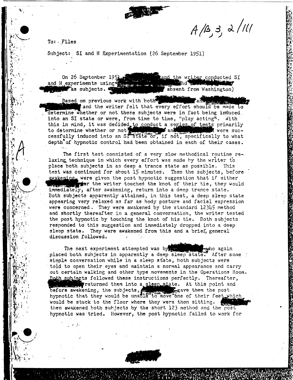

 $A/B, 3, 2/111$ 

To: Files

Subject: SI and H Experimentation (26 September 1951)

On 26 September 1951 and the writer conducted SI and H experiments using the state ras subjects. absent from Washington)

Based on previous work with both a and the writer felt that every effort should be made to determine whether or not these subjects were in fact being induced into an SI state or were, from time to time, "play acting". With this in mind, it was decided to conduct a series of tests primarily to determine whether or not state or, if not, specifically to what depth of hypnotic control had been obtained in each of their cases.

The first test consisted of a very slow methodical routine relaxing technique in which every effort was made by the writer to place both subjects in as deep a trance state as possible. This test was continued for about 15 minutes. Then the subjects, before awakening. were given the post hypnotic suggestion that if either for the writer touched the knot of their tie, they would immediately, after awakening, return into a deep trance state. Both subjects apparently attained, in this test, a deep sleep state appearing very relaxed as far as body posture and facial expression were concerned. They were awakened by the standard 12345 method and shortly thereafter in a general conversation, the writer tested the post hypnotic by touching the knot of his tie. Both subjects responded to this suggestion and immediately dropped into a deep sleep state. They were awakened from this and a brief, general discussion followed.

The next experiment attempted was by the who again placed both subjects in apparently a deep sleep state. After some simple conversation while in a sleep state, both subjects were told to open their eyes and maintain a normal appearance and carry out certain walking and other type movements in the Operations Room. Roth subjects followed these instructions perfectly. Thereafter, returned them into a sleep state. At this point and before awakening, the subjects, we have them the post hypnotic that they would be unable to move one of their feet which would be stuck to the floor where they were then sitting. then awakened both subjects by the short 123 method and the post hypnotic was tried. However, the post hypnotic failed to work for

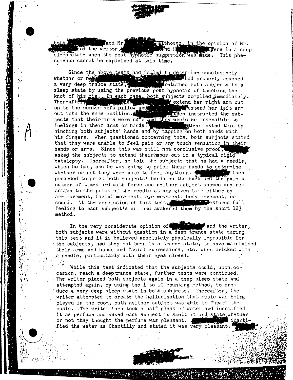

although, in the opinion of Mr. Tand Mr and the writer, **And N Evere in a deep** sleep state when the post hypnotic suggestion was made. This phenomenon cannot be explained at this time.

Since the above tests had failed to determine conclusively **Tage of the Contract of the Contract of the Contract of the Contract of the Contract of the Contract of the Co** whether or net thad properly reached a very deep trance state, freturned both subjects to a sleep state by using the previous post hypnotic of touching the knot of his tie. In each case, both subjects complied immediately. Thereafter, the center's of a pillow and the extend her right arm out<br>on to the center's of a pillow and extend her left arm<br>out into the same position. jects that their arms were numb and they would be insensible to feelings in their arms or hands. The state of the tested this by pinching both subjects' hands and by tapping on both hands with his fingers. When questioned concerning this, both subjects stated that they were unable to feel pain or any touch sensation in their hands or arms. Since this was still not conclusive proof, asked the subjects to extend their hands out in a typical rigid catalepsy. Thereafter, he told the subjects that he had a needle, which he had, and he was going to prick their hands to determine whether or not they were able to feel anything. f then. proceded to prick both subjects' hands on the back and the palm a number of times and with force and neither subject showed any reaction to the prick of the needle at any given time either by arm movement, facial movement, eye movement, body movement, or Sestored full sound. At the conclusion of this test, feeling to each subject's arm and awakened them by the short 123 method.

In the very considerate opinion of and the writer. both subjects were without question in a deep trance state during this test and it is believed absolutely physically impossible for the subjects, had they not been in a trance state, to have maintained their arms and hands and facial expressions, etc. when pricked with a needle, particularly with their eyes closed.

While this test indicated that the subjects could, upon occasion, reach a deeptrance state, further tests were continued. The writer placed both subjects again in a deep sleep state and attempted again, by using the 1 to 10 counting method, to produce a very deep sleep state in both subjects. Thereafter, the writer attempted to create the hallucination that music was being played in the room, buth neither subject was able to "hear" the music. The writer then took a half glass of water and identified it as perfume and asked each subject to smell it and state whether or not they thought the perfume was pleasant. l identi fied the water as Chantilly and stated it was very pleasant.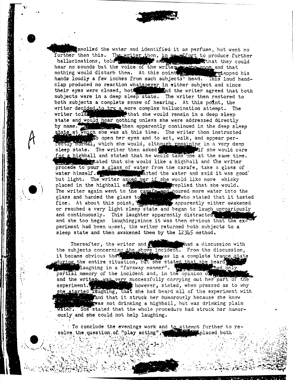smelled the water and identified it as perfume, but went no further than this. The writer then, in an effort to produce further hallucinations, told with the window and the sthew what they could hear no sounds but the voice of the writer is the moon and that nothing would disturb them. At this point, we had. This loud hand-<br>hands loudly a few inches from each subjects head. This loud handclap produced no reaction whatsoever in either subject and since their eyes were closed, both their eyes were closed, both and the writer agreed that both subjects were in a deep sleep state. The writer then restored to both subjects a complete sense of hearing. At this point, the writer decided to try a more complex hallucination attempt. The writer told, when the would remain in a deep sleep state and would hear nothing unless she were addressed directly then apparently continued in the deep sleep by name. $\blacksquare$ state at which she was at this time. The writer then instructed to open her eyes and to act, walk, and appear perrectly normal, which she would, although remaining in a very deep sleep state. The writer then asked states Mif she would care for a highball and stated that he would take one at the same time. stated that she would like a highball and the writer procede to pour a glass of water from the carafe, take a glass of water himself. **Figure 1.1 Access 1.1 Access** as the water and said it was good but light. The writer asked her if she would like more whisky placed in the highball and the place of that she would. The writer again went to the capafe and poured more water into the glass and handed the glass to the state of who stated that it tasted fine. At about this point, we apparently either awakened or reached a very light sleep state and began to laugh uproariously and continuously. This laughter apparently distracted, and she too began laughing; since it was then obvious that the experiment had been upset, the writer returned both subjects to a sleep state and then awakened them by the 12345 method.

that a discussion with Thereafter, the writer and  $\blacksquare$ the subjects concerning the above incident. From the discussion,<br>it became obvious that the situation, but she stated that she heard laughing in a "faraway manner". Thad only partial memory of the incident and, in the opinion of the and the writers was very successfully carrying out her part of the experiment. experiment. In the however, stated, when pressed as to why she started faughing, that she had heard all of the experiment with and that it struck her humorously because she knew gwas not drinking a highball, but was drinking plain water. She stated that the whole procedure had struck her humorously and she could not help laughing.

To conclude the evenings work and to attempt further to re-**Replaced** both solve the question of "play acting",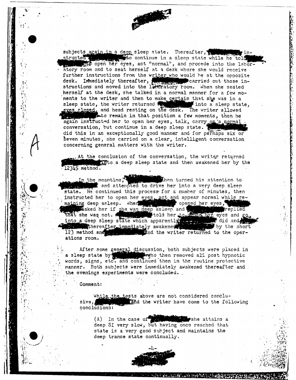subjects again in a deep sleep state. Thereafter, structed with the structure in a sleep state while he told ato open her eyes, act "normal", and procede into the laboratory room and to seat herself at a desk where she would receive further instructions from the writer who would be at the opposite desk. Immediately thereafter, we will carried out these instructions and moved into the laboratory room. When she seated herself at the desk, she talked in a normal manner for a few moments to the writer and then to make certain that she was in a sleep state, the writer returned the state into a sleep state eyes closed, and head resting on the desk. The writer allowed into a sleep state, sto remain in that position a few moments, then he again instructed her to open her eyes, talk, carry on a normal conversation, but continue in a deep sleep state. did this in an exceptionally good manner and for perhaps six or Seven minutes, she carried on a clear, intelligent conversation concerning general matters with the writer.

At the conclusion of the conversation, the writer returned into a deep sleep state and then awakened her by the  $123\sqrt{5}$  method.

In the meantime. then turned his attention to and attempted to drive her into a very deep sleep state. He continued this process for a number of minutes, then instructed her to open her eyes, act and appear normal while remaining deep asleep. Where where the opened her eyes, that she was deep as leep and the was deep as a sheep and the was deep as leep as and go, the a deep sleep state which apparently was and go, into a deep sleep state which apparently was and did and the sheep state. thereafter immediately awakened a by the short 123 method and the writer returned to the operations room.

After some general discussion, both subjects were placed in<br>a sleep state by the property with the removed all post hypnotic<br>words, signs, etc. and continued then in the routine protective manner. Both subjects were immediately awakened thereafter and the evenings experiments were concluded.

Comment:

٠è

While the tests above are not considered concluand the writer have come to the following sive, conclusions:

 $(A)$  In the case of  $\frac{1}{2}$ ∎she attains a deep SI very slow, but having once reached that state is a very good subject and maintains the deep trance state continually.